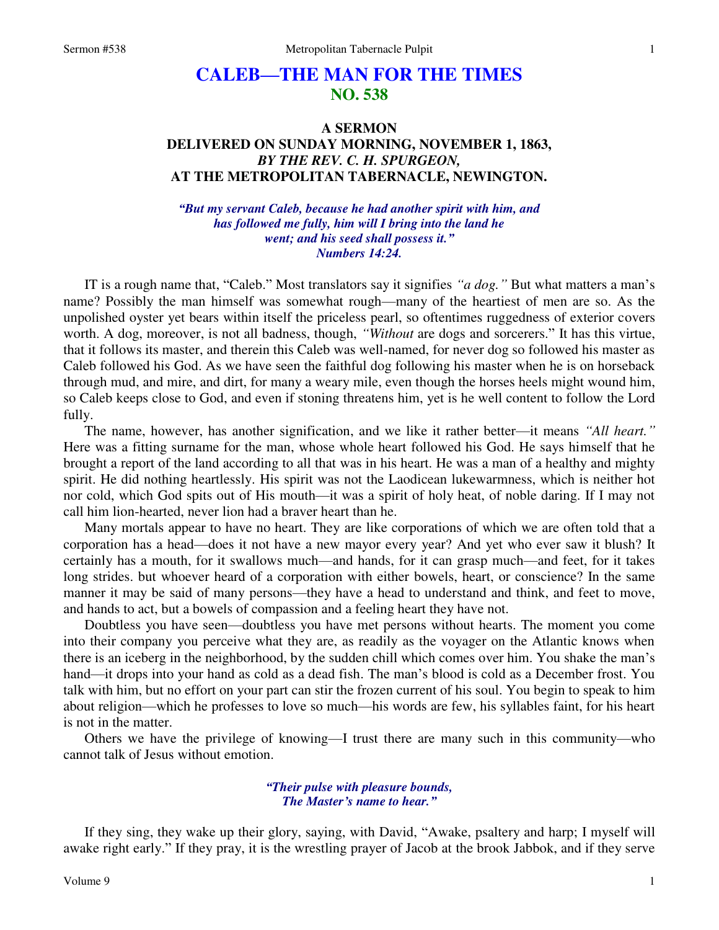# **CALEB—THE MAN FOR THE TIMES NO. 538**

## **A SERMON DELIVERED ON SUNDAY MORNING, NOVEMBER 1, 1863,**  *BY THE REV. C. H. SPURGEON,*  **AT THE METROPOLITAN TABERNACLE, NEWINGTON.**

*"But my servant Caleb, because he had another spirit with him, and has followed me fully, him will I bring into the land he went; and his seed shall possess it." Numbers 14:24.* 

IT is a rough name that, "Caleb." Most translators say it signifies *"a dog."* But what matters a man's name? Possibly the man himself was somewhat rough—many of the heartiest of men are so. As the unpolished oyster yet bears within itself the priceless pearl, so oftentimes ruggedness of exterior covers worth. A dog, moreover, is not all badness, though, *"Without* are dogs and sorcerers." It has this virtue, that it follows its master, and therein this Caleb was well-named, for never dog so followed his master as Caleb followed his God. As we have seen the faithful dog following his master when he is on horseback through mud, and mire, and dirt, for many a weary mile, even though the horses heels might wound him, so Caleb keeps close to God, and even if stoning threatens him, yet is he well content to follow the Lord fully.

The name, however, has another signification, and we like it rather better—it means *"All heart."* Here was a fitting surname for the man, whose whole heart followed his God. He says himself that he brought a report of the land according to all that was in his heart. He was a man of a healthy and mighty spirit. He did nothing heartlessly. His spirit was not the Laodicean lukewarmness, which is neither hot nor cold, which God spits out of His mouth—it was a spirit of holy heat, of noble daring. If I may not call him lion-hearted, never lion had a braver heart than he.

Many mortals appear to have no heart. They are like corporations of which we are often told that a corporation has a head—does it not have a new mayor every year? And yet who ever saw it blush? It certainly has a mouth, for it swallows much—and hands, for it can grasp much—and feet, for it takes long strides. but whoever heard of a corporation with either bowels, heart, or conscience? In the same manner it may be said of many persons—they have a head to understand and think, and feet to move, and hands to act, but a bowels of compassion and a feeling heart they have not.

Doubtless you have seen—doubtless you have met persons without hearts. The moment you come into their company you perceive what they are, as readily as the voyager on the Atlantic knows when there is an iceberg in the neighborhood, by the sudden chill which comes over him. You shake the man's hand—it drops into your hand as cold as a dead fish. The man's blood is cold as a December frost. You talk with him, but no effort on your part can stir the frozen current of his soul. You begin to speak to him about religion—which he professes to love so much—his words are few, his syllables faint, for his heart is not in the matter.

Others we have the privilege of knowing—I trust there are many such in this community—who cannot talk of Jesus without emotion.

#### *"Their pulse with pleasure bounds, The Master's name to hear."*

If they sing, they wake up their glory, saying, with David, "Awake, psaltery and harp; I myself will awake right early." If they pray, it is the wrestling prayer of Jacob at the brook Jabbok, and if they serve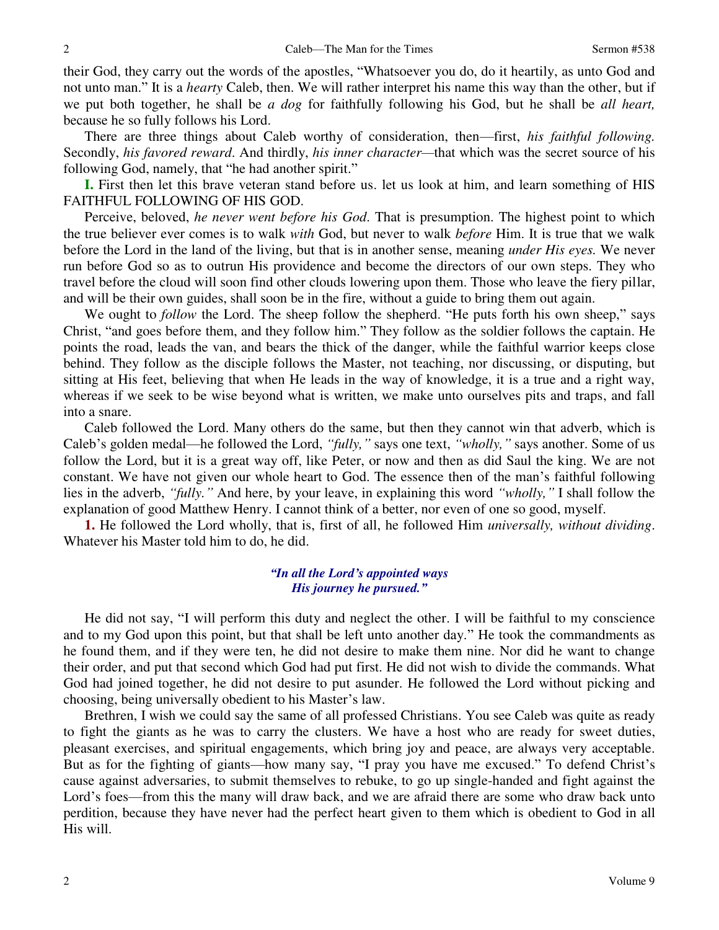their God, they carry out the words of the apostles, "Whatsoever you do, do it heartily, as unto God and not unto man." It is a *hearty* Caleb, then. We will rather interpret his name this way than the other, but if we put both together, he shall be *a dog* for faithfully following his God, but he shall be *all heart,* because he so fully follows his Lord.

There are three things about Caleb worthy of consideration, then—first, *his faithful following.* Secondly, *his favored reward*. And thirdly, *his inner character—*that which was the secret source of his following God, namely, that "he had another spirit."

**I.** First then let this brave veteran stand before us. let us look at him, and learn something of HIS FAITHFUL FOLLOWING OF HIS GOD.

Perceive, beloved, *he never went before his God*. That is presumption. The highest point to which the true believer ever comes is to walk *with* God, but never to walk *before* Him. It is true that we walk before the Lord in the land of the living, but that is in another sense, meaning *under His eyes.* We never run before God so as to outrun His providence and become the directors of our own steps. They who travel before the cloud will soon find other clouds lowering upon them. Those who leave the fiery pillar, and will be their own guides, shall soon be in the fire, without a guide to bring them out again.

We ought to *follow* the Lord. The sheep follow the shepherd. "He puts forth his own sheep," says Christ, "and goes before them, and they follow him." They follow as the soldier follows the captain. He points the road, leads the van, and bears the thick of the danger, while the faithful warrior keeps close behind. They follow as the disciple follows the Master, not teaching, nor discussing, or disputing, but sitting at His feet, believing that when He leads in the way of knowledge, it is a true and a right way, whereas if we seek to be wise beyond what is written, we make unto ourselves pits and traps, and fall into a snare.

Caleb followed the Lord. Many others do the same, but then they cannot win that adverb, which is Caleb's golden medal—he followed the Lord, *"fully,"* says one text, *"wholly,"* says another. Some of us follow the Lord, but it is a great way off, like Peter, or now and then as did Saul the king. We are not constant. We have not given our whole heart to God. The essence then of the man's faithful following lies in the adverb, *"fully."* And here, by your leave, in explaining this word *"wholly,"* I shall follow the explanation of good Matthew Henry. I cannot think of a better, nor even of one so good, myself.

**1.** He followed the Lord wholly, that is, first of all, he followed Him *universally, without dividing*. Whatever his Master told him to do, he did.

## *"In all the Lord's appointed ways His journey he pursued."*

He did not say, "I will perform this duty and neglect the other. I will be faithful to my conscience and to my God upon this point, but that shall be left unto another day." He took the commandments as he found them, and if they were ten, he did not desire to make them nine. Nor did he want to change their order, and put that second which God had put first. He did not wish to divide the commands. What God had joined together, he did not desire to put asunder. He followed the Lord without picking and choosing, being universally obedient to his Master's law.

Brethren, I wish we could say the same of all professed Christians. You see Caleb was quite as ready to fight the giants as he was to carry the clusters. We have a host who are ready for sweet duties, pleasant exercises, and spiritual engagements, which bring joy and peace, are always very acceptable. But as for the fighting of giants—how many say, "I pray you have me excused." To defend Christ's cause against adversaries, to submit themselves to rebuke, to go up single-handed and fight against the Lord's foes—from this the many will draw back, and we are afraid there are some who draw back unto perdition, because they have never had the perfect heart given to them which is obedient to God in all His will.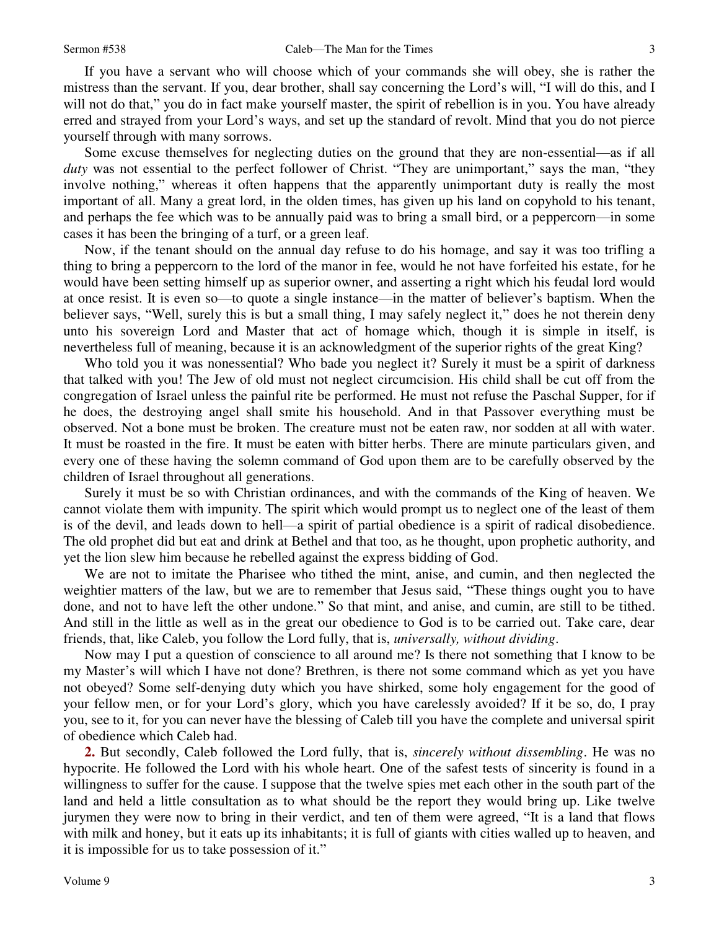If you have a servant who will choose which of your commands she will obey, she is rather the mistress than the servant. If you, dear brother, shall say concerning the Lord's will, "I will do this, and I will not do that," you do in fact make yourself master, the spirit of rebellion is in you. You have already erred and strayed from your Lord's ways, and set up the standard of revolt. Mind that you do not pierce yourself through with many sorrows.

Some excuse themselves for neglecting duties on the ground that they are non-essential—as if all *duty* was not essential to the perfect follower of Christ. "They are unimportant," says the man, "they involve nothing," whereas it often happens that the apparently unimportant duty is really the most important of all. Many a great lord, in the olden times, has given up his land on copyhold to his tenant, and perhaps the fee which was to be annually paid was to bring a small bird, or a peppercorn—in some cases it has been the bringing of a turf, or a green leaf.

Now, if the tenant should on the annual day refuse to do his homage, and say it was too trifling a thing to bring a peppercorn to the lord of the manor in fee, would he not have forfeited his estate, for he would have been setting himself up as superior owner, and asserting a right which his feudal lord would at once resist. It is even so—to quote a single instance—in the matter of believer's baptism. When the believer says, "Well, surely this is but a small thing, I may safely neglect it," does he not therein deny unto his sovereign Lord and Master that act of homage which, though it is simple in itself, is nevertheless full of meaning, because it is an acknowledgment of the superior rights of the great King?

Who told you it was nonessential? Who bade you neglect it? Surely it must be a spirit of darkness that talked with you! The Jew of old must not neglect circumcision. His child shall be cut off from the congregation of Israel unless the painful rite be performed. He must not refuse the Paschal Supper, for if he does, the destroying angel shall smite his household. And in that Passover everything must be observed. Not a bone must be broken. The creature must not be eaten raw, nor sodden at all with water. It must be roasted in the fire. It must be eaten with bitter herbs. There are minute particulars given, and every one of these having the solemn command of God upon them are to be carefully observed by the children of Israel throughout all generations.

Surely it must be so with Christian ordinances, and with the commands of the King of heaven. We cannot violate them with impunity. The spirit which would prompt us to neglect one of the least of them is of the devil, and leads down to hell—a spirit of partial obedience is a spirit of radical disobedience. The old prophet did but eat and drink at Bethel and that too, as he thought, upon prophetic authority, and yet the lion slew him because he rebelled against the express bidding of God.

We are not to imitate the Pharisee who tithed the mint, anise, and cumin, and then neglected the weightier matters of the law, but we are to remember that Jesus said, "These things ought you to have done, and not to have left the other undone." So that mint, and anise, and cumin, are still to be tithed. And still in the little as well as in the great our obedience to God is to be carried out. Take care, dear friends, that, like Caleb, you follow the Lord fully, that is, *universally, without dividing*.

Now may I put a question of conscience to all around me? Is there not something that I know to be my Master's will which I have not done? Brethren, is there not some command which as yet you have not obeyed? Some self-denying duty which you have shirked, some holy engagement for the good of your fellow men, or for your Lord's glory, which you have carelessly avoided? If it be so, do, I pray you, see to it, for you can never have the blessing of Caleb till you have the complete and universal spirit of obedience which Caleb had.

**2.** But secondly, Caleb followed the Lord fully, that is, *sincerely without dissembling*. He was no hypocrite. He followed the Lord with his whole heart. One of the safest tests of sincerity is found in a willingness to suffer for the cause. I suppose that the twelve spies met each other in the south part of the land and held a little consultation as to what should be the report they would bring up. Like twelve jurymen they were now to bring in their verdict, and ten of them were agreed, "It is a land that flows with milk and honey, but it eats up its inhabitants; it is full of giants with cities walled up to heaven, and it is impossible for us to take possession of it."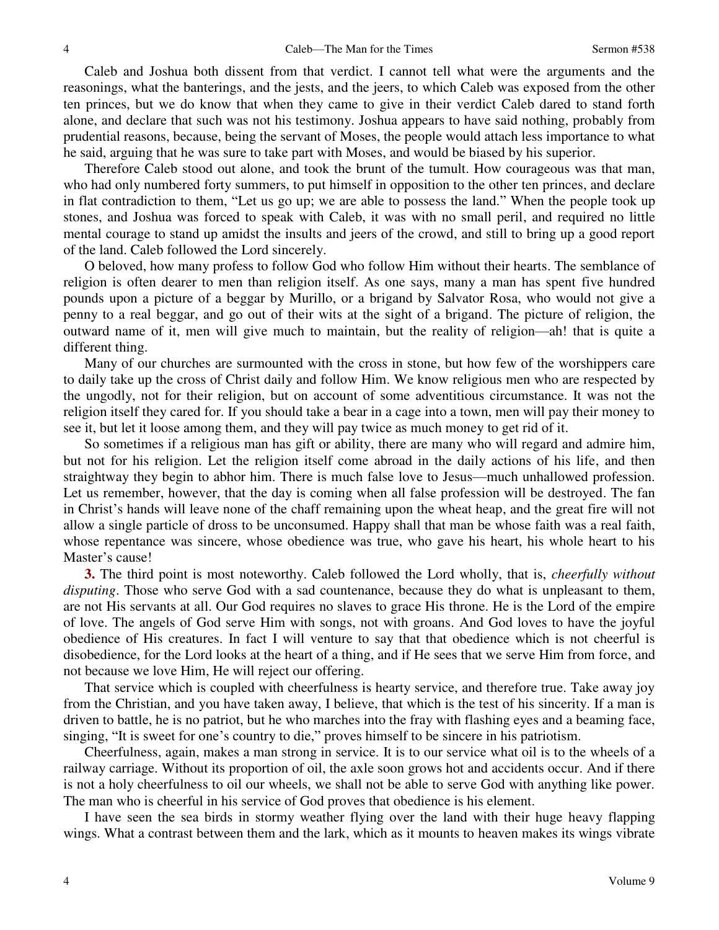Caleb and Joshua both dissent from that verdict. I cannot tell what were the arguments and the reasonings, what the banterings, and the jests, and the jeers, to which Caleb was exposed from the other ten princes, but we do know that when they came to give in their verdict Caleb dared to stand forth alone, and declare that such was not his testimony. Joshua appears to have said nothing, probably from prudential reasons, because, being the servant of Moses, the people would attach less importance to what he said, arguing that he was sure to take part with Moses, and would be biased by his superior.

Therefore Caleb stood out alone, and took the brunt of the tumult. How courageous was that man, who had only numbered forty summers, to put himself in opposition to the other ten princes, and declare in flat contradiction to them, "Let us go up; we are able to possess the land." When the people took up stones, and Joshua was forced to speak with Caleb, it was with no small peril, and required no little mental courage to stand up amidst the insults and jeers of the crowd, and still to bring up a good report of the land. Caleb followed the Lord sincerely.

O beloved, how many profess to follow God who follow Him without their hearts. The semblance of religion is often dearer to men than religion itself. As one says, many a man has spent five hundred pounds upon a picture of a beggar by Murillo, or a brigand by Salvator Rosa, who would not give a penny to a real beggar, and go out of their wits at the sight of a brigand. The picture of religion, the outward name of it, men will give much to maintain, but the reality of religion—ah! that is quite a different thing.

Many of our churches are surmounted with the cross in stone, but how few of the worshippers care to daily take up the cross of Christ daily and follow Him. We know religious men who are respected by the ungodly, not for their religion, but on account of some adventitious circumstance. It was not the religion itself they cared for. If you should take a bear in a cage into a town, men will pay their money to see it, but let it loose among them, and they will pay twice as much money to get rid of it.

So sometimes if a religious man has gift or ability, there are many who will regard and admire him, but not for his religion. Let the religion itself come abroad in the daily actions of his life, and then straightway they begin to abhor him. There is much false love to Jesus—much unhallowed profession. Let us remember, however, that the day is coming when all false profession will be destroyed. The fan in Christ's hands will leave none of the chaff remaining upon the wheat heap, and the great fire will not allow a single particle of dross to be unconsumed. Happy shall that man be whose faith was a real faith, whose repentance was sincere, whose obedience was true, who gave his heart, his whole heart to his Master's cause!

**3.** The third point is most noteworthy. Caleb followed the Lord wholly, that is, *cheerfully without disputing*. Those who serve God with a sad countenance, because they do what is unpleasant to them, are not His servants at all. Our God requires no slaves to grace His throne. He is the Lord of the empire of love. The angels of God serve Him with songs, not with groans. And God loves to have the joyful obedience of His creatures. In fact I will venture to say that that obedience which is not cheerful is disobedience, for the Lord looks at the heart of a thing, and if He sees that we serve Him from force, and not because we love Him, He will reject our offering.

That service which is coupled with cheerfulness is hearty service, and therefore true. Take away joy from the Christian, and you have taken away, I believe, that which is the test of his sincerity. If a man is driven to battle, he is no patriot, but he who marches into the fray with flashing eyes and a beaming face, singing, "It is sweet for one's country to die," proves himself to be sincere in his patriotism.

Cheerfulness, again, makes a man strong in service. It is to our service what oil is to the wheels of a railway carriage. Without its proportion of oil, the axle soon grows hot and accidents occur. And if there is not a holy cheerfulness to oil our wheels, we shall not be able to serve God with anything like power. The man who is cheerful in his service of God proves that obedience is his element.

I have seen the sea birds in stormy weather flying over the land with their huge heavy flapping wings. What a contrast between them and the lark, which as it mounts to heaven makes its wings vibrate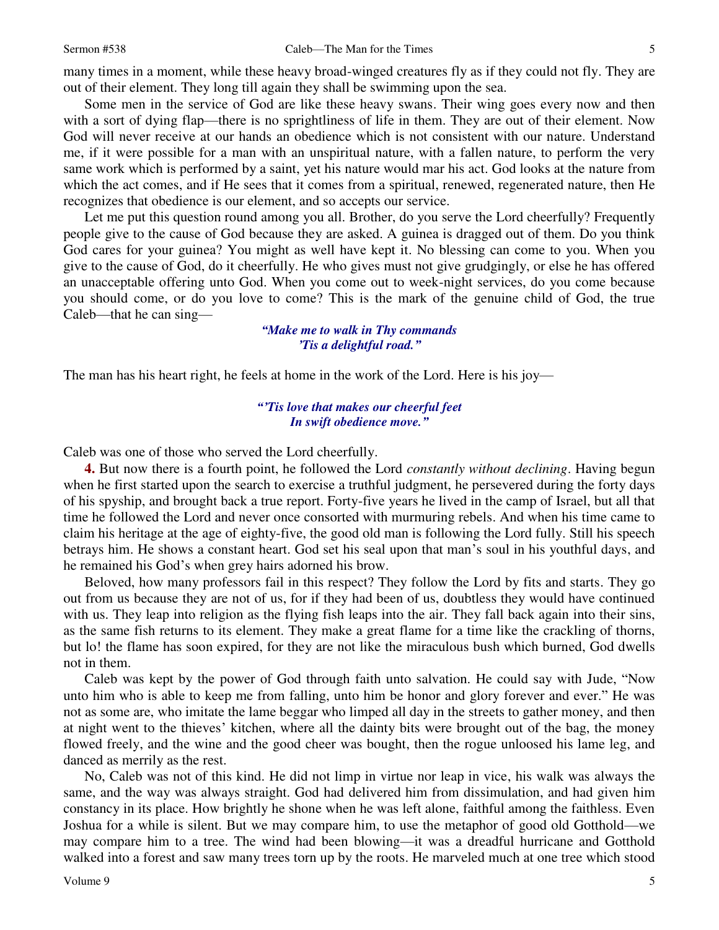many times in a moment, while these heavy broad-winged creatures fly as if they could not fly. They are out of their element. They long till again they shall be swimming upon the sea.

Some men in the service of God are like these heavy swans. Their wing goes every now and then with a sort of dying flap—there is no sprightliness of life in them. They are out of their element. Now God will never receive at our hands an obedience which is not consistent with our nature. Understand me, if it were possible for a man with an unspiritual nature, with a fallen nature, to perform the very same work which is performed by a saint, yet his nature would mar his act. God looks at the nature from which the act comes, and if He sees that it comes from a spiritual, renewed, regenerated nature, then He recognizes that obedience is our element, and so accepts our service.

Let me put this question round among you all. Brother, do you serve the Lord cheerfully? Frequently people give to the cause of God because they are asked. A guinea is dragged out of them. Do you think God cares for your guinea? You might as well have kept it. No blessing can come to you. When you give to the cause of God, do it cheerfully. He who gives must not give grudgingly, or else he has offered an unacceptable offering unto God. When you come out to week-night services, do you come because you should come, or do you love to come? This is the mark of the genuine child of God, the true Caleb—that he can sing—

> *"Make me to walk in Thy commands 'Tis a delightful road."*

The man has his heart right, he feels at home in the work of the Lord. Here is his joy—

### *"'Tis love that makes our cheerful feet In swift obedience move."*

Caleb was one of those who served the Lord cheerfully.

**4.** But now there is a fourth point, he followed the Lord *constantly without declining*. Having begun when he first started upon the search to exercise a truthful judgment, he persevered during the forty days of his spyship, and brought back a true report. Forty-five years he lived in the camp of Israel, but all that time he followed the Lord and never once consorted with murmuring rebels. And when his time came to claim his heritage at the age of eighty-five, the good old man is following the Lord fully. Still his speech betrays him. He shows a constant heart. God set his seal upon that man's soul in his youthful days, and he remained his God's when grey hairs adorned his brow.

Beloved, how many professors fail in this respect? They follow the Lord by fits and starts. They go out from us because they are not of us, for if they had been of us, doubtless they would have continued with us. They leap into religion as the flying fish leaps into the air. They fall back again into their sins, as the same fish returns to its element. They make a great flame for a time like the crackling of thorns, but lo! the flame has soon expired, for they are not like the miraculous bush which burned, God dwells not in them.

Caleb was kept by the power of God through faith unto salvation. He could say with Jude, "Now unto him who is able to keep me from falling, unto him be honor and glory forever and ever." He was not as some are, who imitate the lame beggar who limped all day in the streets to gather money, and then at night went to the thieves' kitchen, where all the dainty bits were brought out of the bag, the money flowed freely, and the wine and the good cheer was bought, then the rogue unloosed his lame leg, and danced as merrily as the rest.

No, Caleb was not of this kind. He did not limp in virtue nor leap in vice, his walk was always the same, and the way was always straight. God had delivered him from dissimulation, and had given him constancy in its place. How brightly he shone when he was left alone, faithful among the faithless. Even Joshua for a while is silent. But we may compare him, to use the metaphor of good old Gotthold—we may compare him to a tree. The wind had been blowing—it was a dreadful hurricane and Gotthold walked into a forest and saw many trees torn up by the roots. He marveled much at one tree which stood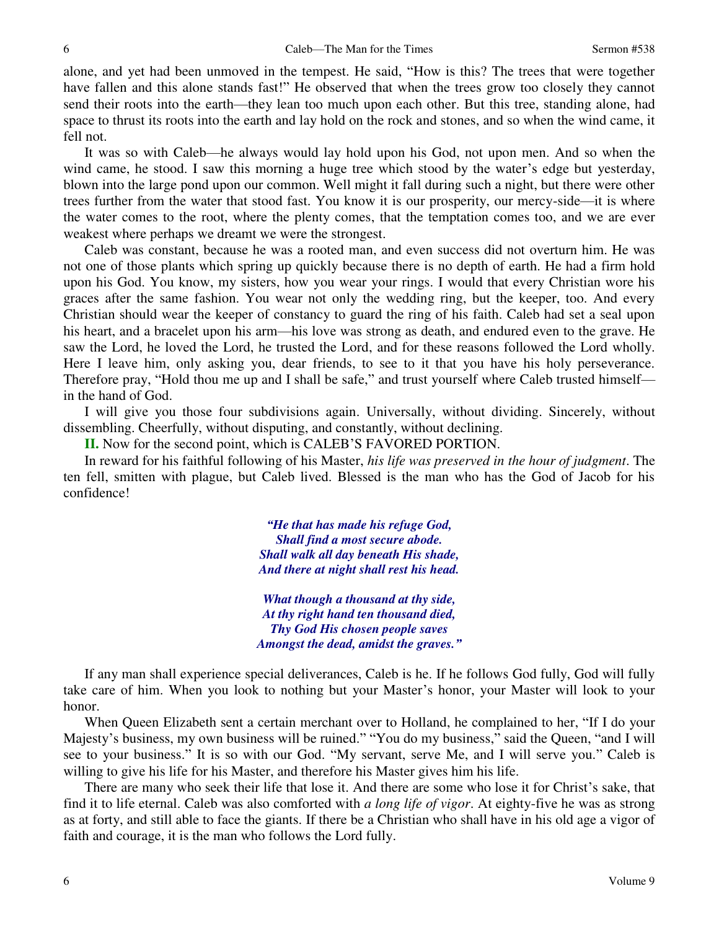alone, and yet had been unmoved in the tempest. He said, "How is this? The trees that were together have fallen and this alone stands fast!" He observed that when the trees grow too closely they cannot send their roots into the earth—they lean too much upon each other. But this tree, standing alone, had space to thrust its roots into the earth and lay hold on the rock and stones, and so when the wind came, it fell not.

It was so with Caleb—he always would lay hold upon his God, not upon men. And so when the wind came, he stood. I saw this morning a huge tree which stood by the water's edge but yesterday, blown into the large pond upon our common. Well might it fall during such a night, but there were other trees further from the water that stood fast. You know it is our prosperity, our mercy-side—it is where the water comes to the root, where the plenty comes, that the temptation comes too, and we are ever weakest where perhaps we dreamt we were the strongest.

Caleb was constant, because he was a rooted man, and even success did not overturn him. He was not one of those plants which spring up quickly because there is no depth of earth. He had a firm hold upon his God. You know, my sisters, how you wear your rings. I would that every Christian wore his graces after the same fashion. You wear not only the wedding ring, but the keeper, too. And every Christian should wear the keeper of constancy to guard the ring of his faith. Caleb had set a seal upon his heart, and a bracelet upon his arm—his love was strong as death, and endured even to the grave. He saw the Lord, he loved the Lord, he trusted the Lord, and for these reasons followed the Lord wholly. Here I leave him, only asking you, dear friends, to see to it that you have his holy perseverance. Therefore pray, "Hold thou me up and I shall be safe," and trust yourself where Caleb trusted himself in the hand of God.

I will give you those four subdivisions again. Universally, without dividing. Sincerely, without dissembling. Cheerfully, without disputing, and constantly, without declining.

**II.** Now for the second point, which is CALEB'S FAVORED PORTION.

In reward for his faithful following of his Master, *his life was preserved in the hour of judgment*. The ten fell, smitten with plague, but Caleb lived. Blessed is the man who has the God of Jacob for his confidence!

> *"He that has made his refuge God, Shall find a most secure abode. Shall walk all day beneath His shade, And there at night shall rest his head.*

*What though a thousand at thy side, At thy right hand ten thousand died, Thy God His chosen people saves Amongst the dead, amidst the graves."*

If any man shall experience special deliverances, Caleb is he. If he follows God fully, God will fully take care of him. When you look to nothing but your Master's honor, your Master will look to your honor.

When Queen Elizabeth sent a certain merchant over to Holland, he complained to her, "If I do your Majesty's business, my own business will be ruined." "You do my business," said the Queen, "and I will see to your business." It is so with our God. "My servant, serve Me, and I will serve you." Caleb is willing to give his life for his Master, and therefore his Master gives him his life.

There are many who seek their life that lose it. And there are some who lose it for Christ's sake, that find it to life eternal. Caleb was also comforted with *a long life of vigor*. At eighty-five he was as strong as at forty, and still able to face the giants. If there be a Christian who shall have in his old age a vigor of faith and courage, it is the man who follows the Lord fully.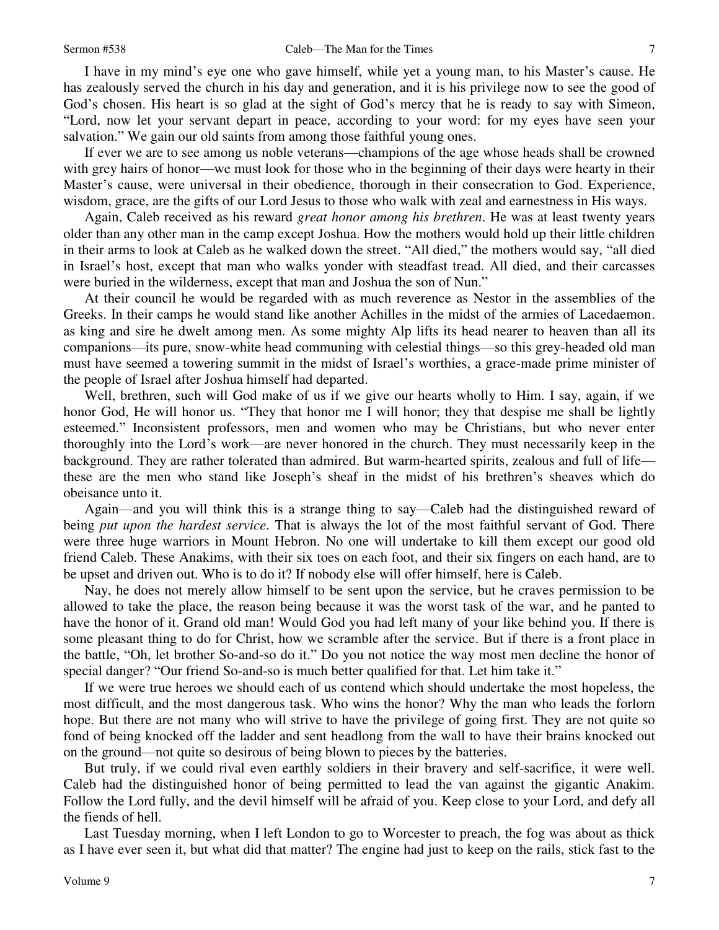I have in my mind's eye one who gave himself, while yet a young man, to his Master's cause. He has zealously served the church in his day and generation, and it is his privilege now to see the good of God's chosen. His heart is so glad at the sight of God's mercy that he is ready to say with Simeon, "Lord, now let your servant depart in peace, according to your word: for my eyes have seen your salvation." We gain our old saints from among those faithful young ones.

If ever we are to see among us noble veterans—champions of the age whose heads shall be crowned with grey hairs of honor—we must look for those who in the beginning of their days were hearty in their Master's cause, were universal in their obedience, thorough in their consecration to God. Experience, wisdom, grace, are the gifts of our Lord Jesus to those who walk with zeal and earnestness in His ways.

Again, Caleb received as his reward *great honor among his brethren*. He was at least twenty years older than any other man in the camp except Joshua. How the mothers would hold up their little children in their arms to look at Caleb as he walked down the street. "All died," the mothers would say, "all died in Israel's host, except that man who walks yonder with steadfast tread. All died, and their carcasses were buried in the wilderness, except that man and Joshua the son of Nun."

At their council he would be regarded with as much reverence as Nestor in the assemblies of the Greeks. In their camps he would stand like another Achilles in the midst of the armies of Lacedaemon. as king and sire he dwelt among men. As some mighty Alp lifts its head nearer to heaven than all its companions—its pure, snow-white head communing with celestial things—so this grey-headed old man must have seemed a towering summit in the midst of Israel's worthies, a grace-made prime minister of the people of Israel after Joshua himself had departed.

Well, brethren, such will God make of us if we give our hearts wholly to Him. I say, again, if we honor God, He will honor us. "They that honor me I will honor; they that despise me shall be lightly esteemed." Inconsistent professors, men and women who may be Christians, but who never enter thoroughly into the Lord's work—are never honored in the church. They must necessarily keep in the background. They are rather tolerated than admired. But warm-hearted spirits, zealous and full of life these are the men who stand like Joseph's sheaf in the midst of his brethren's sheaves which do obeisance unto it.

Again—and you will think this is a strange thing to say—Caleb had the distinguished reward of being *put upon the hardest service*. That is always the lot of the most faithful servant of God. There were three huge warriors in Mount Hebron. No one will undertake to kill them except our good old friend Caleb. These Anakims, with their six toes on each foot, and their six fingers on each hand, are to be upset and driven out. Who is to do it? If nobody else will offer himself, here is Caleb.

Nay, he does not merely allow himself to be sent upon the service, but he craves permission to be allowed to take the place, the reason being because it was the worst task of the war, and he panted to have the honor of it. Grand old man! Would God you had left many of your like behind you. If there is some pleasant thing to do for Christ, how we scramble after the service. But if there is a front place in the battle, "Oh, let brother So-and-so do it." Do you not notice the way most men decline the honor of special danger? "Our friend So-and-so is much better qualified for that. Let him take it."

If we were true heroes we should each of us contend which should undertake the most hopeless, the most difficult, and the most dangerous task. Who wins the honor? Why the man who leads the forlorn hope. But there are not many who will strive to have the privilege of going first. They are not quite so fond of being knocked off the ladder and sent headlong from the wall to have their brains knocked out on the ground—not quite so desirous of being blown to pieces by the batteries.

But truly, if we could rival even earthly soldiers in their bravery and self-sacrifice, it were well. Caleb had the distinguished honor of being permitted to lead the van against the gigantic Anakim. Follow the Lord fully, and the devil himself will be afraid of you. Keep close to your Lord, and defy all the fiends of hell.

Last Tuesday morning, when I left London to go to Worcester to preach, the fog was about as thick as I have ever seen it, but what did that matter? The engine had just to keep on the rails, stick fast to the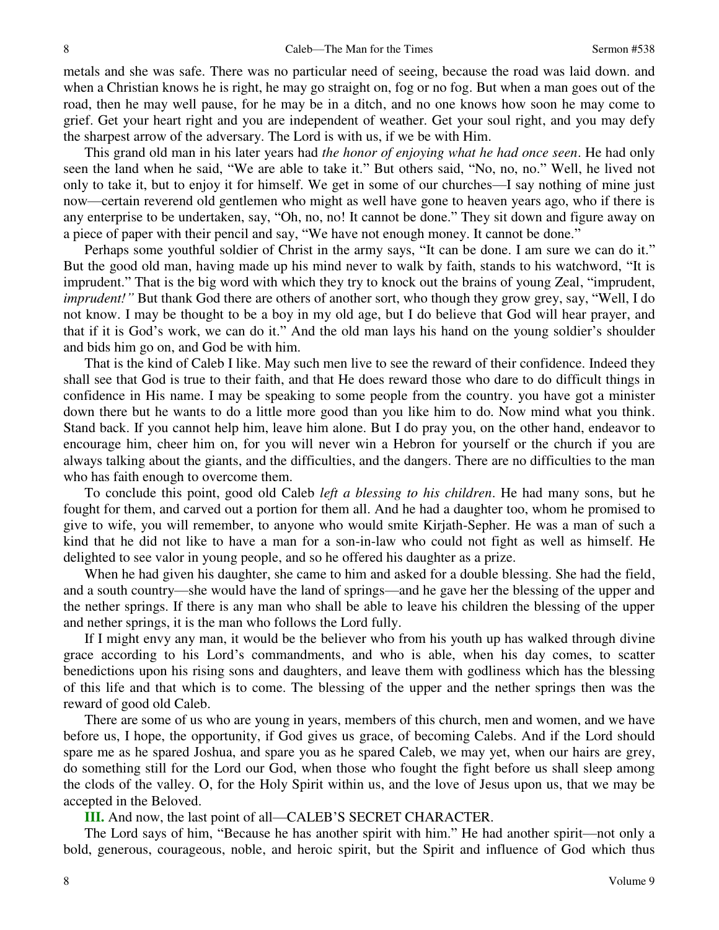metals and she was safe. There was no particular need of seeing, because the road was laid down. and when a Christian knows he is right, he may go straight on, fog or no fog. But when a man goes out of the road, then he may well pause, for he may be in a ditch, and no one knows how soon he may come to grief. Get your heart right and you are independent of weather. Get your soul right, and you may defy the sharpest arrow of the adversary. The Lord is with us, if we be with Him.

This grand old man in his later years had *the honor of enjoying what he had once seen*. He had only seen the land when he said, "We are able to take it." But others said, "No, no, no." Well, he lived not only to take it, but to enjoy it for himself. We get in some of our churches—I say nothing of mine just now—certain reverend old gentlemen who might as well have gone to heaven years ago, who if there is any enterprise to be undertaken, say, "Oh, no, no! It cannot be done." They sit down and figure away on a piece of paper with their pencil and say, "We have not enough money. It cannot be done."

Perhaps some youthful soldier of Christ in the army says, "It can be done. I am sure we can do it." But the good old man, having made up his mind never to walk by faith, stands to his watchword, "It is imprudent." That is the big word with which they try to knock out the brains of young Zeal, "imprudent, *imprudent!*<sup>"</sup> But thank God there are others of another sort, who though they grow grey, say, "Well, I do not know. I may be thought to be a boy in my old age, but I do believe that God will hear prayer, and that if it is God's work, we can do it." And the old man lays his hand on the young soldier's shoulder and bids him go on, and God be with him.

That is the kind of Caleb I like. May such men live to see the reward of their confidence. Indeed they shall see that God is true to their faith, and that He does reward those who dare to do difficult things in confidence in His name. I may be speaking to some people from the country. you have got a minister down there but he wants to do a little more good than you like him to do. Now mind what you think. Stand back. If you cannot help him, leave him alone. But I do pray you, on the other hand, endeavor to encourage him, cheer him on, for you will never win a Hebron for yourself or the church if you are always talking about the giants, and the difficulties, and the dangers. There are no difficulties to the man who has faith enough to overcome them.

To conclude this point, good old Caleb *left a blessing to his children*. He had many sons, but he fought for them, and carved out a portion for them all. And he had a daughter too, whom he promised to give to wife, you will remember, to anyone who would smite Kirjath-Sepher. He was a man of such a kind that he did not like to have a man for a son-in-law who could not fight as well as himself. He delighted to see valor in young people, and so he offered his daughter as a prize.

When he had given his daughter, she came to him and asked for a double blessing. She had the field, and a south country—she would have the land of springs—and he gave her the blessing of the upper and the nether springs. If there is any man who shall be able to leave his children the blessing of the upper and nether springs, it is the man who follows the Lord fully.

If I might envy any man, it would be the believer who from his youth up has walked through divine grace according to his Lord's commandments, and who is able, when his day comes, to scatter benedictions upon his rising sons and daughters, and leave them with godliness which has the blessing of this life and that which is to come. The blessing of the upper and the nether springs then was the reward of good old Caleb.

There are some of us who are young in years, members of this church, men and women, and we have before us, I hope, the opportunity, if God gives us grace, of becoming Calebs. And if the Lord should spare me as he spared Joshua, and spare you as he spared Caleb, we may yet, when our hairs are grey, do something still for the Lord our God, when those who fought the fight before us shall sleep among the clods of the valley. O, for the Holy Spirit within us, and the love of Jesus upon us, that we may be accepted in the Beloved.

**III.** And now, the last point of all—CALEB'S SECRET CHARACTER.

The Lord says of him, "Because he has another spirit with him." He had another spirit—not only a bold, generous, courageous, noble, and heroic spirit, but the Spirit and influence of God which thus